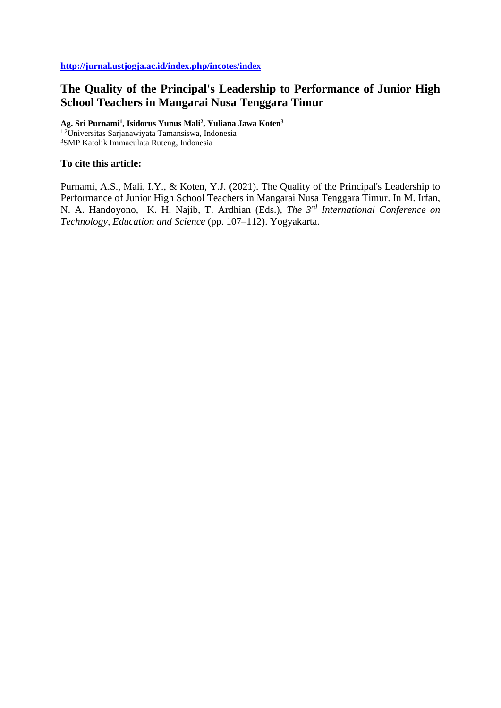# **The Quality of the Principal's Leadership to Performance of Junior High School Teachers in Mangarai Nusa Tenggara Timur**

**Ag. Sri Purnami<sup>1</sup> , Isidorus Yunus Mali<sup>2</sup> , Yuliana Jawa Koten<sup>3</sup>** 1,2Universitas Sarjanawiyata Tamansiswa, Indonesia <sup>3</sup>SMP Katolik Immaculata Ruteng, Indonesia

## **To cite this article:**

Purnami, A.S., Mali, I.Y., & Koten, Y.J. (2021). The Quality of the Principal's Leadership to Performance of Junior High School Teachers in Mangarai Nusa Tenggara Timur. In M. Irfan, N. A. Handoyono, K. H. Najib, T. Ardhian (Eds.), *The 3rd International Conference on Technology, Education and Science* (pp. 107–112). Yogyakarta.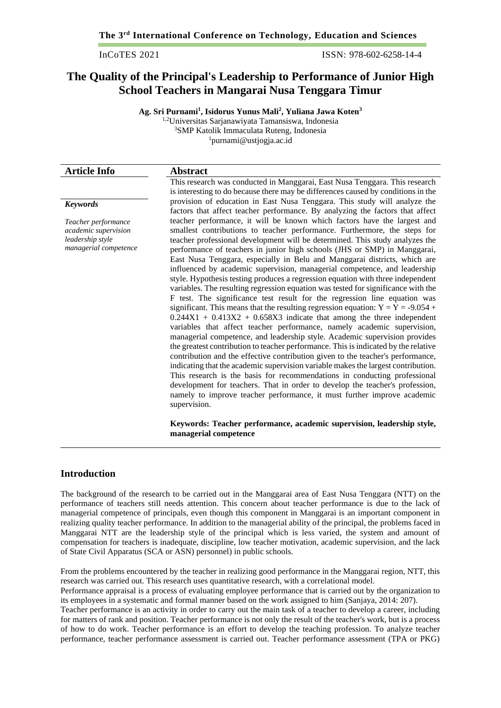InCoTES 2021 ISSN: 978-602-6258-14-4

## **The Quality of the Principal's Leadership to Performance of Junior High School Teachers in Mangarai Nusa Tenggara Timur**

**Ag. Sri Purnami<sup>1</sup> , Isidorus Yunus Mali<sup>2</sup> , Yuliana Jawa Koten<sup>3</sup>**

1,2Universitas Sarjanawiyata Tamansiswa, Indonesia <sup>3</sup>SMP Katolik Immaculata Ruteng, Indonesia

<sup>1</sup>[purnami@ustjogja.ac.id](mailto:purnami@ustjogja.ac.id)

| <b>Article Info</b>                                                                      | <b>Abstract</b>                                                                                                                                                                                                                                                                                                                                                                                                                                                                                                                                                                                                                                                                                                                                                                                                                                                                                                                                                                                                                                                                                                                                                                                                                                                                                                                                                                                                                                                                                                                                                                    |
|------------------------------------------------------------------------------------------|------------------------------------------------------------------------------------------------------------------------------------------------------------------------------------------------------------------------------------------------------------------------------------------------------------------------------------------------------------------------------------------------------------------------------------------------------------------------------------------------------------------------------------------------------------------------------------------------------------------------------------------------------------------------------------------------------------------------------------------------------------------------------------------------------------------------------------------------------------------------------------------------------------------------------------------------------------------------------------------------------------------------------------------------------------------------------------------------------------------------------------------------------------------------------------------------------------------------------------------------------------------------------------------------------------------------------------------------------------------------------------------------------------------------------------------------------------------------------------------------------------------------------------------------------------------------------------|
|                                                                                          | This research was conducted in Manggarai, East Nusa Tenggara. This research<br>is interesting to do because there may be differences caused by conditions in the                                                                                                                                                                                                                                                                                                                                                                                                                                                                                                                                                                                                                                                                                                                                                                                                                                                                                                                                                                                                                                                                                                                                                                                                                                                                                                                                                                                                                   |
| <b>Keywords</b>                                                                          | provision of education in East Nusa Tenggara. This study will analyze the<br>factors that affect teacher performance. By analyzing the factors that affect                                                                                                                                                                                                                                                                                                                                                                                                                                                                                                                                                                                                                                                                                                                                                                                                                                                                                                                                                                                                                                                                                                                                                                                                                                                                                                                                                                                                                         |
| Teacher performance<br>academic supervision<br>leadership style<br>managerial competence | teacher performance, it will be known which factors have the largest and<br>smallest contributions to teacher performance. Furthermore, the steps for<br>teacher professional development will be determined. This study analyzes the<br>performance of teachers in junior high schools (JHS or SMP) in Manggarai,<br>East Nusa Tenggara, especially in Belu and Manggarai districts, which are<br>influenced by academic supervision, managerial competence, and leadership<br>style. Hypothesis testing produces a regression equation with three independent<br>variables. The resulting regression equation was tested for significance with the<br>F test. The significance test result for the regression line equation was<br>significant. This means that the resulting regression equation: $Y = Y = -9.054 +$<br>$0.244X1 + 0.413X2 + 0.658X3$ indicate that among the three independent<br>variables that affect teacher performance, namely academic supervision,<br>managerial competence, and leadership style. Academic supervision provides<br>the greatest contribution to teacher performance. This is indicated by the relative<br>contribution and the effective contribution given to the teacher's performance,<br>indicating that the academic supervision variable makes the largest contribution.<br>This research is the basis for recommendations in conducting professional<br>development for teachers. That in order to develop the teacher's profession,<br>namely to improve teacher performance, it must further improve academic<br>supervision. |
|                                                                                          | Keywords: Teacher performance, academic supervision, leadership style,<br>managerial competence                                                                                                                                                                                                                                                                                                                                                                                                                                                                                                                                                                                                                                                                                                                                                                                                                                                                                                                                                                                                                                                                                                                                                                                                                                                                                                                                                                                                                                                                                    |

## **Introduction**

The background of the research to be carried out in the Manggarai area of East Nusa Tenggara (NTT) on the performance of teachers still needs attention. This concern about teacher performance is due to the lack of managerial competence of principals, even though this component in Manggarai is an important component in realizing quality teacher performance. In addition to the managerial ability of the principal, the problems faced in Manggarai NTT are the leadership style of the principal which is less varied, the system and amount of compensation for teachers is inadequate, discipline, low teacher motivation, academic supervision, and the lack of State Civil Apparatus (SCA or ASN) personnel) in public schools.

From the problems encountered by the teacher in realizing good performance in the Manggarai region, NTT, this research was carried out. This research uses quantitative research, with a correlational model.

Performance appraisal is a process of evaluating employee performance that is carried out by the organization to its employees in a systematic and formal manner based on the work assigned to him (Sanjaya, 2014: 207).

Teacher performance is an activity in order to carry out the main task of a teacher to develop a career, including for matters of rank and position. Teacher performance is not only the result of the teacher's work, but is a process of how to do work. Teacher performance is an effort to develop the teaching profession. To analyze teacher performance, teacher performance assessment is carried out. Teacher performance assessment (TPA or PKG)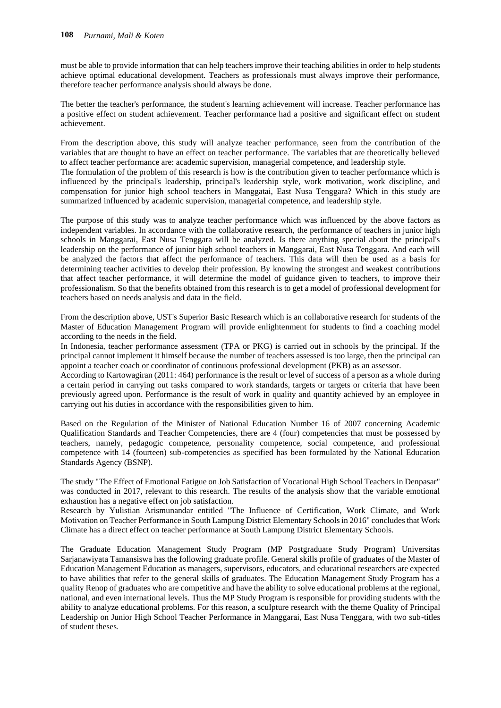must be able to provide information that can help teachers improve their teaching abilities in order to help students achieve optimal educational development. Teachers as professionals must always improve their performance, therefore teacher performance analysis should always be done.

The better the teacher's performance, the student's learning achievement will increase. Teacher performance has a positive effect on student achievement. Teacher performance had a positive and significant effect on student achievement.

From the description above, this study will analyze teacher performance, seen from the contribution of the variables that are thought to have an effect on teacher performance. The variables that are theoretically believed to affect teacher performance are: academic supervision, managerial competence, and leadership style.

The formulation of the problem of this research is how is the contribution given to teacher performance which is influenced by the principal's leadership, principal's leadership style, work motivation, work discipline, and compensation for junior high school teachers in Manggatai, East Nusa Tenggara? Which in this study are summarized influenced by academic supervision, managerial competence, and leadership style.

The purpose of this study was to analyze teacher performance which was influenced by the above factors as independent variables. In accordance with the collaborative research, the performance of teachers in junior high schools in Manggarai, East Nusa Tenggara will be analyzed. Is there anything special about the principal's leadership on the performance of junior high school teachers in Manggarai, East Nusa Tenggara. And each will be analyzed the factors that affect the performance of teachers. This data will then be used as a basis for determining teacher activities to develop their profession. By knowing the strongest and weakest contributions that affect teacher performance, it will determine the model of guidance given to teachers, to improve their professionalism. So that the benefits obtained from this research is to get a model of professional development for teachers based on needs analysis and data in the field.

From the description above, UST's Superior Basic Research which is an collaborative research for students of the Master of Education Management Program will provide enlightenment for students to find a coaching model according to the needs in the field.

In Indonesia, teacher performance assessment (TPA or PKG) is carried out in schools by the principal. If the principal cannot implement it himself because the number of teachers assessed is too large, then the principal can appoint a teacher coach or coordinator of continuous professional development (PKB) as an assessor.

According to Kartowagiran (2011: 464) performance is the result or level of success of a person as a whole during a certain period in carrying out tasks compared to work standards, targets or targets or criteria that have been previously agreed upon. Performance is the result of work in quality and quantity achieved by an employee in carrying out his duties in accordance with the responsibilities given to him.

Based on the Regulation of the Minister of National Education Number 16 of 2007 concerning Academic Qualification Standards and Teacher Competencies, there are 4 (four) competencies that must be possessed by teachers, namely, pedagogic competence, personality competence, social competence, and professional competence with 14 (fourteen) sub-competencies as specified has been formulated by the National Education Standards Agency (BSNP).

The study "The Effect of Emotional Fatigue on Job Satisfaction of Vocational High School Teachers in Denpasar" was conducted in 2017, relevant to this research. The results of the analysis show that the variable emotional exhaustion has a negative effect on job satisfaction.

Research by Yulistian Arismunandar entitled "The Influence of Certification, Work Climate, and Work Motivation on Teacher Performance in South Lampung District Elementary Schools in 2016" concludes that Work Climate has a direct effect on teacher performance at South Lampung District Elementary Schools.

The Graduate Education Management Study Program (MP Postgraduate Study Program) Universitas Sarjanawiyata Tamansiswa has the following graduate profile. General skills profile of graduates of the Master of Education Management Education as managers, supervisors, educators, and educational researchers are expected to have abilities that refer to the general skills of graduates. The Education Management Study Program has a quality Renop of graduates who are competitive and have the ability to solve educational problems at the regional, national, and even international levels. Thus the MP Study Program is responsible for providing students with the ability to analyze educational problems. For this reason, a sculpture research with the theme Quality of Principal Leadership on Junior High School Teacher Performance in Manggarai, East Nusa Tenggara, with two sub-titles of student theses.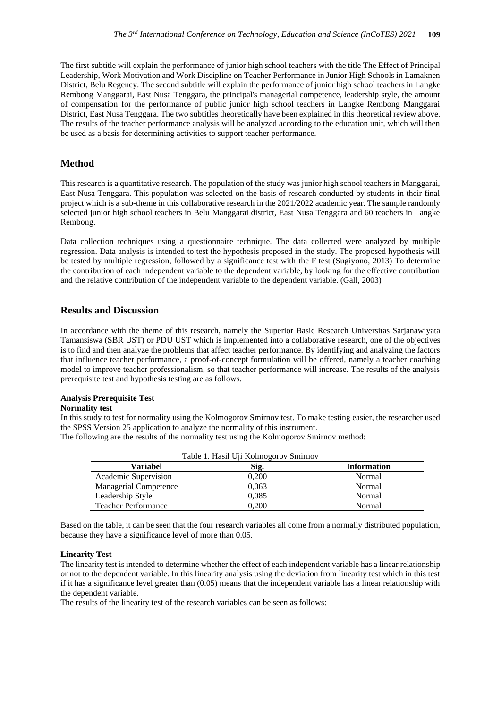The first subtitle will explain the performance of junior high school teachers with the title The Effect of Principal Leadership, Work Motivation and Work Discipline on Teacher Performance in Junior High Schools in Lamaknen District, Belu Regency. The second subtitle will explain the performance of junior high school teachers in Langke Rembong Manggarai, East Nusa Tenggara, the principal's managerial competence, leadership style, the amount of compensation for the performance of public junior high school teachers in Langke Rembong Manggarai District, East Nusa Tenggara. The two subtitles theoretically have been explained in this theoretical review above. The results of the teacher performance analysis will be analyzed according to the education unit, which will then be used as a basis for determining activities to support teacher performance.

## **Method**

This research is a quantitative research. The population of the study was junior high school teachers in Manggarai, East Nusa Tenggara. This population was selected on the basis of research conducted by students in their final project which is a sub-theme in this collaborative research in the 2021/2022 academic year. The sample randomly selected junior high school teachers in Belu Manggarai district, East Nusa Tenggara and 60 teachers in Langke Rembong.

Data collection techniques using a questionnaire technique. The data collected were analyzed by multiple regression. Data analysis is intended to test the hypothesis proposed in the study. The proposed hypothesis will be tested by multiple regression, followed by a significance test with the F test (Sugiyono, 2013) To determine the contribution of each independent variable to the dependent variable, by looking for the effective contribution and the relative contribution of the independent variable to the dependent variable. (Gall, 2003)

## **Results and Discussion**

In accordance with the theme of this research, namely the Superior Basic Research Universitas Sarjanawiyata Tamansiswa (SBR UST) or PDU UST which is implemented into a collaborative research, one of the objectives is to find and then analyze the problems that affect teacher performance. By identifying and analyzing the factors that influence teacher performance, a proof-of-concept formulation will be offered, namely a teacher coaching model to improve teacher professionalism, so that teacher performance will increase. The results of the analysis prerequisite test and hypothesis testing are as follows.

## **Analysis Prerequisite Test**

#### **Normality test**

In this study to test for normality using the Kolmogorov Smirnov test. To make testing easier, the researcher used the SPSS Version 25 application to analyze the normality of this instrument.

The following are the results of the normality test using the Kolmogorov Smirnov method:

|                              | Table 1. Hasil Uji Kolmogorov Smirnov |                    |
|------------------------------|---------------------------------------|--------------------|
| Variabel                     | Sig.                                  | <b>Information</b> |
| Academic Supervision         | 0,200                                 | Normal             |
| <b>Managerial Competence</b> | 0,063                                 | Normal             |
| Leadership Style             | 0.085                                 | Normal             |
| <b>Teacher Performance</b>   | 0.200                                 | Normal             |

Based on the table, it can be seen that the four research variables all come from a normally distributed population, because they have a significance level of more than 0.05.

#### **Linearity Test**

The linearity test is intended to determine whether the effect of each independent variable has a linear relationship or not to the dependent variable. In this linearity analysis using the deviation from linearity test which in this test if it has a significance level greater than (0.05) means that the independent variable has a linear relationship with the dependent variable.

The results of the linearity test of the research variables can be seen as follows: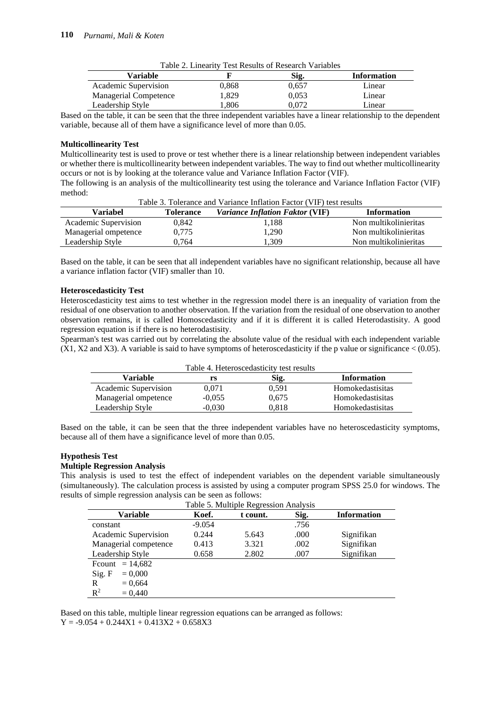| Table 2. Linearity Test Results of Research Variables |       |       |                    |
|-------------------------------------------------------|-------|-------|--------------------|
| Variable                                              |       | Sig.  | <b>Information</b> |
| Academic Supervision                                  | 0.868 | 0.657 | Linear             |
| Managerial Competence                                 | .329  | 0.053 | Linear             |
| Leadership Style                                      | .806  | 0.072 | Linear             |

Based on the table, it can be seen that the three independent variables have a linear relationship to the dependent variable, because all of them have a significance level of more than 0.05.

#### **Multicollinearity Test**

Multicollinearity test is used to prove or test whether there is a linear relationship between independent variables or whether there is multicollinearity between independent variables. The way to find out whether multicollinearity occurs or not is by looking at the tolerance value and Variance Inflation Factor (VIF).

The following is an analysis of the multicollinearity test using the tolerance and Variance Inflation Factor (VIF) method:

| Table 3. Tolerance and Variance Inflation Factor (VIF) test results |                  |                                 |                       |  |
|---------------------------------------------------------------------|------------------|---------------------------------|-----------------------|--|
| Variabel                                                            | <b>Tolerance</b> | Variance Inflation Faktor (VIF) | <b>Information</b>    |  |
| Academic Supervision                                                | 0.842            | 1,188                           | Non multikolinieritas |  |
| Managerial ompetence                                                | 0.775            | 1.290                           | Non multikolinieritas |  |
| Leadership Style                                                    | 0.764            | .309                            | Non multikolinieritas |  |

Based on the table, it can be seen that all independent variables have no significant relationship, because all have a variance inflation factor (VIF) smaller than 10.

#### **Heteroscedasticity Test**

Heteroscedasticity test aims to test whether in the regression model there is an inequality of variation from the residual of one observation to another observation. If the variation from the residual of one observation to another observation remains, it is called Homoscedasticity and if it is different it is called Heterodastisity. A good regression equation is if there is no heterodastisity.

Spearman's test was carried out by correlating the absolute value of the residual with each independent variable  $(X1, X2, Y3)$ . A variable is said to have symptoms of heteroscedasticity if the p value or significance < (0.05).

| Table 4. Heteroscedasticity test results     |          |       |                  |  |
|----------------------------------------------|----------|-------|------------------|--|
| Variable<br><b>Information</b><br>Sig.<br>rs |          |       |                  |  |
| Academic Supervision                         | 0.071    | 0.591 | Homokedastisitas |  |
| Managerial ompetence                         | $-0.055$ | 0.675 | Homokedastisitas |  |
| Leadership Style                             | $-0.030$ | 0.818 | Homokedastisitas |  |

Based on the table, it can be seen that the three independent variables have no heteroscedasticity symptoms, because all of them have a significance level of more than 0.05.

## **Hypothesis Test**

#### **Multiple Regression Analysis**

This analysis is used to test the effect of independent variables on the dependent variable simultaneously (simultaneously). The calculation process is assisted by using a computer program SPSS 25.0 for windows. The results of simple regression analysis can be seen as follows:

| I abic 5. Ividilipic Regiession Analysis |          |          |      |                    |
|------------------------------------------|----------|----------|------|--------------------|
| Variable                                 | Koef.    | t count. | Sig. | <b>Information</b> |
| constant                                 | $-9.054$ |          | .756 |                    |
| Academic Supervision                     | 0.244    | 5.643    | .000 | Signifikan         |
| Managerial competence                    | 0.413    | 3.321    | .002 | Signifikan         |
| Leadership Style                         | 0.658    | 2.802    | .007 | Signifikan         |
| Frount $= 14,682$                        |          |          |      |                    |
| Sig. F<br>$= 0.000$                      |          |          |      |                    |
| R<br>$= 0.664$                           |          |          |      |                    |
| $\mathbb{R}^2$<br>$= 0.440$              |          |          |      |                    |

Table 5. Multiple Regression Analysis

Based on this table, multiple linear regression equations can be arranged as follows:  $Y = -9.054 + 0.244X1 + 0.413X2 + 0.658X3$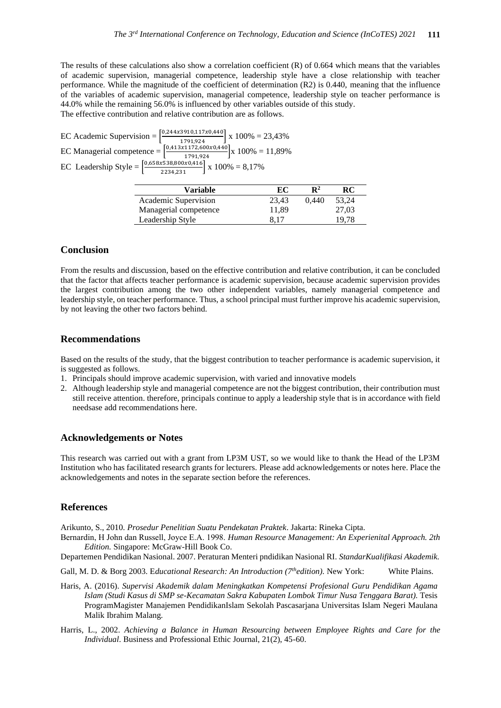The results of these calculations also show a correlation coefficient (R) of 0.664 which means that the variables of academic supervision, managerial competence, leadership style have a close relationship with teacher performance. While the magnitude of the coefficient of determination (R2) is 0.440, meaning that the influence of the variables of academic supervision, managerial competence, leadership style on teacher performance is 44.0% while the remaining 56.0% is influenced by other variables outside of this study. The effective contribution and relative contribution are as follows.

EC Academic Supervision =  $\left[\frac{0.244 \times 3910,117 \times 0.440}{1791,924}\right]$  x 100% = 23,43% EC Managerial competence  $= \left[\frac{0.413 \times 1172,600 \times 0.440}{1791,924}\right]$  x 100% = 11,89% EC Leadership Style =  $\left[\frac{0.658x538,800x0,416}{2234,231}\right]$  x 100% = 8,17%

| <b>Variable</b>       | EC    | $\mathbf{R}^2$ | RC    |
|-----------------------|-------|----------------|-------|
| Academic Supervision  | 23.43 | 0.440          | 53.24 |
| Managerial competence | 11.89 |                | 27.03 |
| Leadership Style      | 8.17  |                | 19.78 |

## **Conclusion**

From the results and discussion, based on the effective contribution and relative contribution, it can be concluded that the factor that affects teacher performance is academic supervision, because academic supervision provides the largest contribution among the two other independent variables, namely managerial competence and leadership style, on teacher performance. Thus, a school principal must further improve his academic supervision, by not leaving the other two factors behind.

#### **Recommendations**

Based on the results of the study, that the biggest contribution to teacher performance is academic supervision, it is suggested as follows.

- 1. Principals should improve academic supervision, with varied and innovative models
- 2. Although leadership style and managerial competence are not the biggest contribution, their contribution must still receive attention. therefore, principals continue to apply a leadership style that is in accordance with field needsase add recommendations here.

## **Acknowledgements or Notes**

This research was carried out with a grant from LP3M UST, so we would like to thank the Head of the LP3M Institution who has facilitated research grants for lecturers. Please add acknowledgements or notes here. Place the acknowledgements and notes in the separate section before the references.

#### **References**

Arikunto, S., 2010. *Prosedur Penelitian Suatu Pendekatan Praktek*. Jakarta: Rineka Cipta.

Bernardin, H John dan Russell, Joyce E.Α. 1998. *Human Resource Management: An Experienital Approach. 2th Edition.* Singapore: McGraw-Hill Book Co.

Departemen Pendidikan Nasional. 2007. Peraturan Menteri pndidikan Nasional RI. *StandarKualifikasi Akademik.*

Gall, M. D. & Borg 2003. E*ducational Research: An Introduction (7thedition).* New York: White Plains.

- Haris, A. (2016). *Supervisi Akademik dalam Meningkatkan Kompetensi Profesional Guru Pendidikan Agama Islam (Studi Kasus di SMP se-Kecamatan Sakra Kabupaten Lombok Timur Nusa Tenggara Barat).* Tesis ProgramMagister Manajemen PendidikanIslam Sekolah Pascasarjana Universitas Islam Negeri Maulana Malik Ibrahim Malang.
- Harris, L., 2002. *Achieving a Balance in Human Resourcing between Employee Rights and Care for the Individual*. Business and Professional Ethic Journal, 21(2), 45-60.